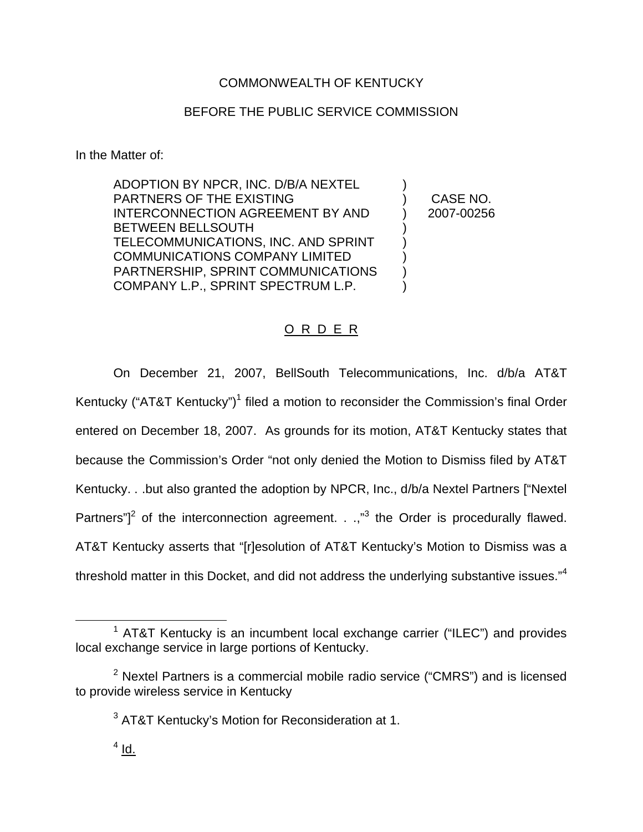# COMMONWEALTH OF KENTUCKY

# BEFORE THE PUBLIC SERVICE COMMISSION

In the Matter of:

ADOPTION BY NPCR, INC. D/B/A NEXTEL PARTNERS OF THE EXISTING INTERCONNECTION AGREEMENT BY AND BETWEEN BELLSOUTH TELECOMMUNICATIONS, INC. AND SPRINT COMMUNICATIONS COMPANY LIMITED PARTNERSHIP, SPRINT COMMUNICATIONS COMPANY L.P., SPRINT SPECTRUM L.P. ) ) ) ) ) )

) CASE NO. ) 2007-00256

# O R D E R

On December 21, 2007, BellSouth Telecommunications, Inc. d/b/a AT&T Kentucky ("AT&T Kentucky")<sup>1</sup> filed a motion to reconsider the Commission's final Order entered on December 18, 2007. As grounds for its motion, AT&T Kentucky states that because the Commission's Order "not only denied the Motion to Dismiss filed by AT&T Kentucky. . .but also granted the adoption by NPCR, Inc., d/b/a Nextel Partners ["Nextel Partners" $1^2$  of the interconnection agreement. . .,"<sup>3</sup> the Order is procedurally flawed. AT&T Kentucky asserts that "[r]esolution of AT&T Kentucky's Motion to Dismiss was a threshold matter in this Docket, and did not address the underlying substantive issues."<sup>4</sup>

 $1$  AT&T Kentucky is an incumbent local exchange carrier ("ILEC") and provides local exchange service in large portions of Kentucky.

 $2$  Nextel Partners is a commercial mobile radio service ("CMRS") and is licensed to provide wireless service in Kentucky

<sup>&</sup>lt;sup>3</sup> AT&T Kentucky's Motion for Reconsideration at 1.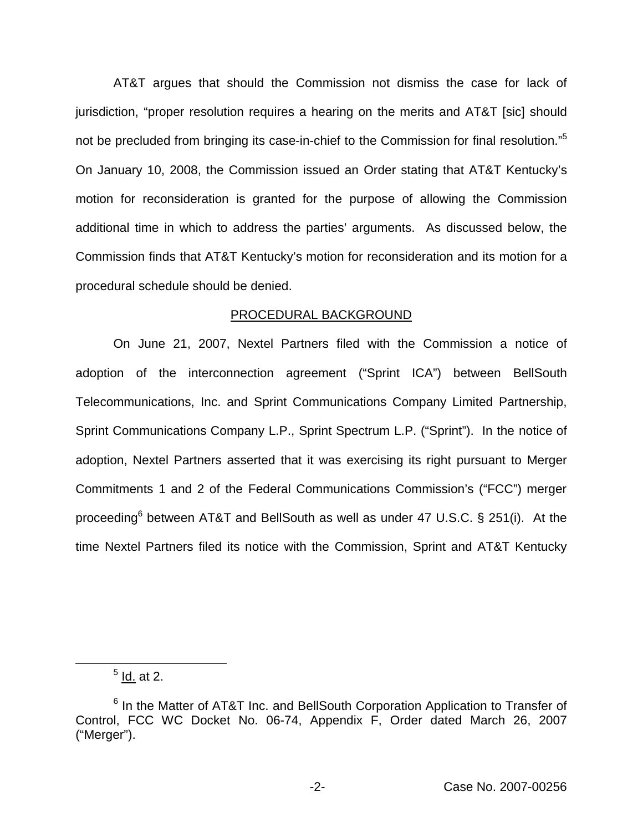AT&T argues that should the Commission not dismiss the case for lack of jurisdiction, "proper resolution requires a hearing on the merits and AT&T [sic] should not be precluded from bringing its case-in-chief to the Commission for final resolution."<sup>5</sup> On January 10, 2008, the Commission issued an Order stating that AT&T Kentucky's motion for reconsideration is granted for the purpose of allowing the Commission additional time in which to address the parties' arguments. As discussed below, the Commission finds that AT&T Kentucky's motion for reconsideration and its motion for a procedural schedule should be denied.

### PROCEDURAL BACKGROUND

On June 21, 2007, Nextel Partners filed with the Commission a notice of adoption of the interconnection agreement ("Sprint ICA") between BellSouth Telecommunications, Inc. and Sprint Communications Company Limited Partnership, Sprint Communications Company L.P., Sprint Spectrum L.P. ("Sprint"). In the notice of adoption, Nextel Partners asserted that it was exercising its right pursuant to Merger Commitments 1 and 2 of the Federal Communications Commission's ("FCC") merger proceeding<sup>6</sup> between AT&T and BellSouth as well as under 47 U.S.C. § 251(i). At the time Nextel Partners filed its notice with the Commission, Sprint and AT&T Kentucky

 $<sup>5</sup>$  Id. at 2.</sup>

<sup>&</sup>lt;sup>6</sup> In the Matter of AT&T Inc. and BellSouth Corporation Application to Transfer of Control, FCC WC Docket No. 06-74, Appendix F, Order dated March 26, 2007 ("Merger").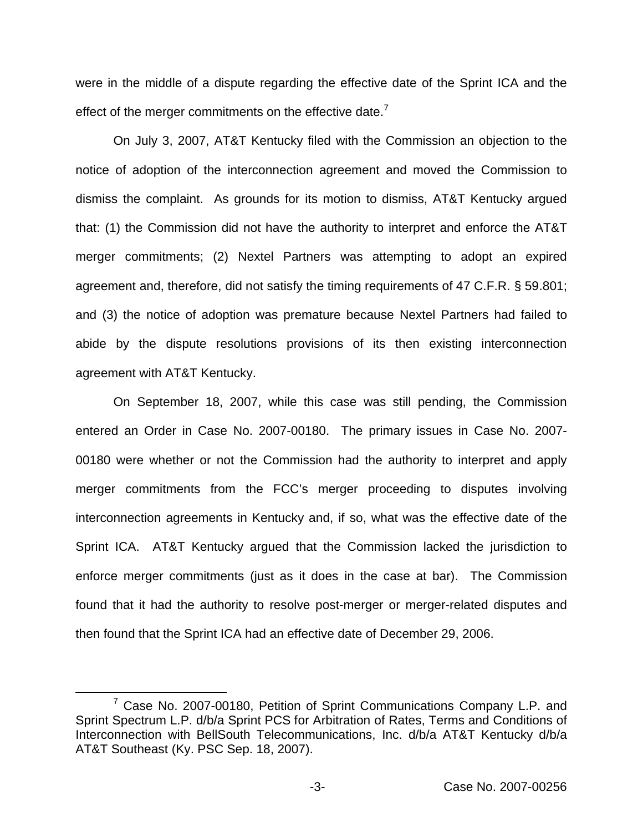were in the middle of a dispute regarding the effective date of the Sprint ICA and the effect of the merger commitments on the effective date.<sup>7</sup>

On July 3, 2007, AT&T Kentucky filed with the Commission an objection to the notice of adoption of the interconnection agreement and moved the Commission to dismiss the complaint. As grounds for its motion to dismiss, AT&T Kentucky argued that: (1) the Commission did not have the authority to interpret and enforce the AT&T merger commitments; (2) Nextel Partners was attempting to adopt an expired agreement and, therefore, did not satisfy the timing requirements of 47 C.F.R. § 59.801; and (3) the notice of adoption was premature because Nextel Partners had failed to abide by the dispute resolutions provisions of its then existing interconnection agreement with AT&T Kentucky.

On September 18, 2007, while this case was still pending, the Commission entered an Order in Case No. 2007-00180. The primary issues in Case No. 2007- 00180 were whether or not the Commission had the authority to interpret and apply merger commitments from the FCC's merger proceeding to disputes involving interconnection agreements in Kentucky and, if so, what was the effective date of the Sprint ICA. AT&T Kentucky argued that the Commission lacked the jurisdiction to enforce merger commitments (just as it does in the case at bar). The Commission found that it had the authority to resolve post-merger or merger-related disputes and then found that the Sprint ICA had an effective date of December 29, 2006.

<sup>&</sup>lt;sup>7</sup> Case No. 2007-00180, Petition of Sprint Communications Company L.P. and Sprint Spectrum L.P. d/b/a Sprint PCS for Arbitration of Rates, Terms and Conditions of Interconnection with BellSouth Telecommunications, Inc. d/b/a AT&T Kentucky d/b/a AT&T Southeast (Ky. PSC Sep. 18, 2007).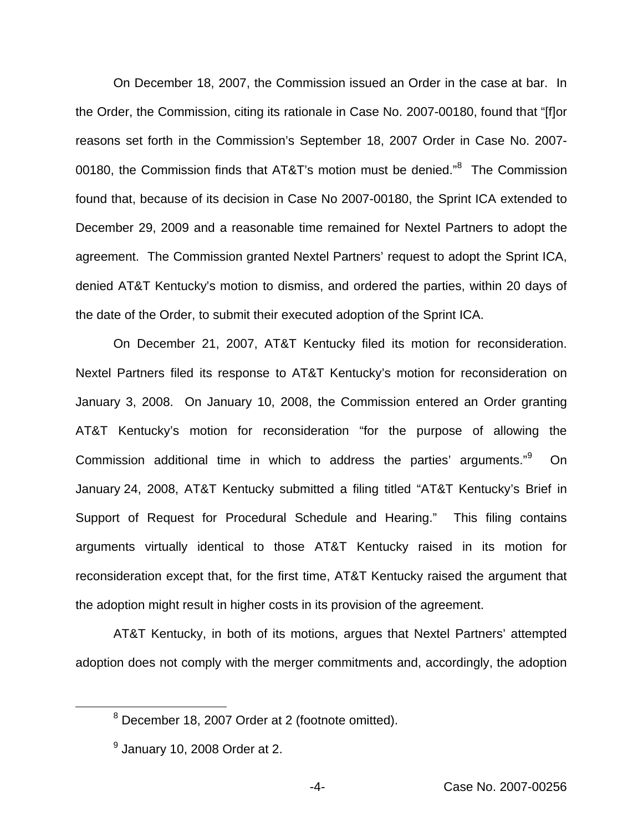On December 18, 2007, the Commission issued an Order in the case at bar. In the Order, the Commission, citing its rationale in Case No. 2007-00180, found that "[f]or reasons set forth in the Commission's September 18, 2007 Order in Case No. 2007- 00180, the Commission finds that AT&T's motion must be denied."<sup>8</sup> The Commission found that, because of its decision in Case No 2007-00180, the Sprint ICA extended to December 29, 2009 and a reasonable time remained for Nextel Partners to adopt the agreement. The Commission granted Nextel Partners' request to adopt the Sprint ICA, denied AT&T Kentucky's motion to dismiss, and ordered the parties, within 20 days of the date of the Order, to submit their executed adoption of the Sprint ICA.

On December 21, 2007, AT&T Kentucky filed its motion for reconsideration. Nextel Partners filed its response to AT&T Kentucky's motion for reconsideration on January 3, 2008. On January 10, 2008, the Commission entered an Order granting AT&T Kentucky's motion for reconsideration "for the purpose of allowing the Commission additional time in which to address the parties' arguments."<sup>9</sup> On January 24, 2008, AT&T Kentucky submitted a filing titled "AT&T Kentucky's Brief in Support of Request for Procedural Schedule and Hearing." This filing contains arguments virtually identical to those AT&T Kentucky raised in its motion for reconsideration except that, for the first time, AT&T Kentucky raised the argument that the adoption might result in higher costs in its provision of the agreement.

AT&T Kentucky, in both of its motions, argues that Nextel Partners' attempted adoption does not comply with the merger commitments and, accordingly, the adoption

<sup>8</sup> December 18, 2007 Order at 2 (footnote omitted).

 $<sup>9</sup>$  January 10, 2008 Order at 2.</sup>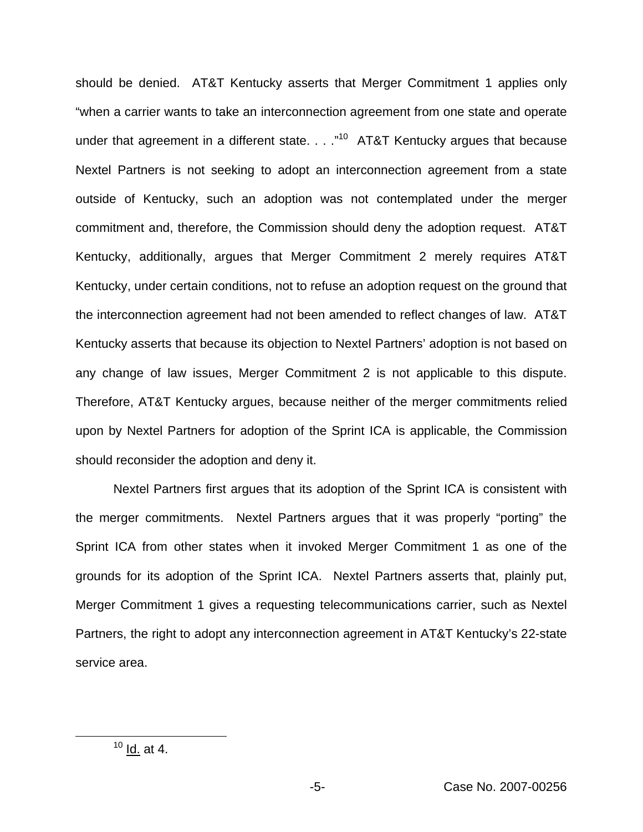should be denied. AT&T Kentucky asserts that Merger Commitment 1 applies only "when a carrier wants to take an interconnection agreement from one state and operate under that agreement in a different state.  $\ldots$ <sup>10</sup> AT&T Kentucky argues that because Nextel Partners is not seeking to adopt an interconnection agreement from a state outside of Kentucky, such an adoption was not contemplated under the merger commitment and, therefore, the Commission should deny the adoption request. AT&T Kentucky, additionally, argues that Merger Commitment 2 merely requires AT&T Kentucky, under certain conditions, not to refuse an adoption request on the ground that the interconnection agreement had not been amended to reflect changes of law. AT&T Kentucky asserts that because its objection to Nextel Partners' adoption is not based on any change of law issues, Merger Commitment 2 is not applicable to this dispute. Therefore, AT&T Kentucky argues, because neither of the merger commitments relied upon by Nextel Partners for adoption of the Sprint ICA is applicable, the Commission should reconsider the adoption and deny it.

Nextel Partners first argues that its adoption of the Sprint ICA is consistent with the merger commitments. Nextel Partners argues that it was properly "porting" the Sprint ICA from other states when it invoked Merger Commitment 1 as one of the grounds for its adoption of the Sprint ICA. Nextel Partners asserts that, plainly put, Merger Commitment 1 gives a requesting telecommunications carrier, such as Nextel Partners, the right to adopt any interconnection agreement in AT&T Kentucky's 22-state service area.

 $10 \underline{\mathsf{Id.}}$  at 4.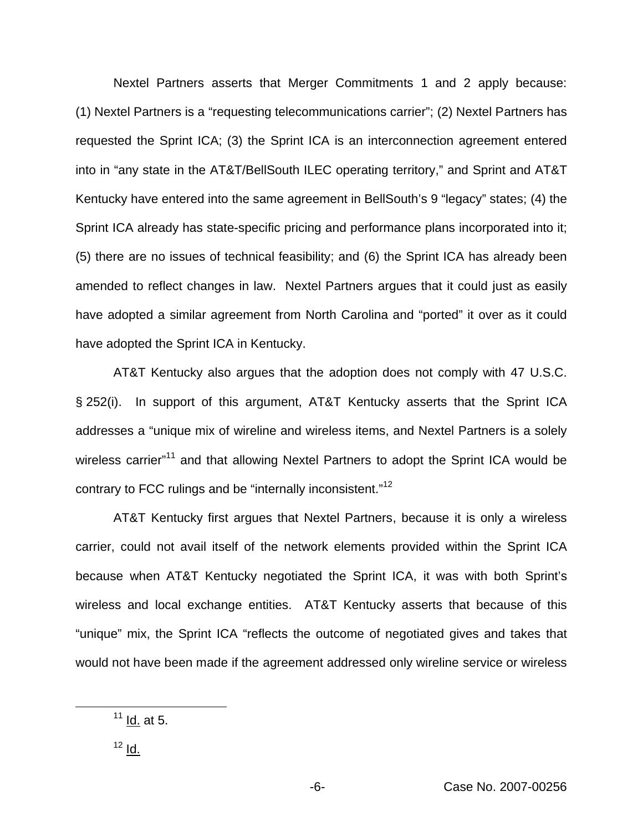Nextel Partners asserts that Merger Commitments 1 and 2 apply because: (1) Nextel Partners is a "requesting telecommunications carrier"; (2) Nextel Partners has requested the Sprint ICA; (3) the Sprint ICA is an interconnection agreement entered into in "any state in the AT&T/BellSouth ILEC operating territory," and Sprint and AT&T Kentucky have entered into the same agreement in BellSouth's 9 "legacy" states; (4) the Sprint ICA already has state-specific pricing and performance plans incorporated into it; (5) there are no issues of technical feasibility; and (6) the Sprint ICA has already been amended to reflect changes in law. Nextel Partners argues that it could just as easily have adopted a similar agreement from North Carolina and "ported" it over as it could have adopted the Sprint ICA in Kentucky.

AT&T Kentucky also argues that the adoption does not comply with 47 U.S.C. § 252(i). In support of this argument, AT&T Kentucky asserts that the Sprint ICA addresses a "unique mix of wireline and wireless items, and Nextel Partners is a solely wireless carrier"<sup>11</sup> and that allowing Nextel Partners to adopt the Sprint ICA would be contrary to FCC rulings and be "internally inconsistent."<sup>12</sup>

AT&T Kentucky first argues that Nextel Partners, because it is only a wireless carrier, could not avail itself of the network elements provided within the Sprint ICA because when AT&T Kentucky negotiated the Sprint ICA, it was with both Sprint's wireless and local exchange entities. AT&T Kentucky asserts that because of this "unique" mix, the Sprint ICA "reflects the outcome of negotiated gives and takes that would not have been made if the agreement addressed only wireline service or wireless

 $11$  Id. at 5.

 $12$  Id.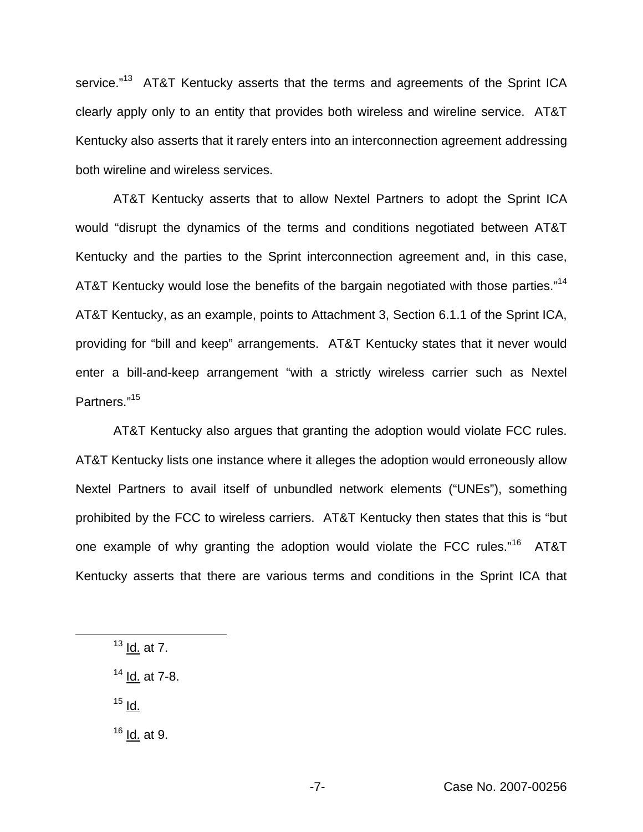service."<sup>13</sup> AT&T Kentucky asserts that the terms and agreements of the Sprint ICA clearly apply only to an entity that provides both wireless and wireline service. AT&T Kentucky also asserts that it rarely enters into an interconnection agreement addressing both wireline and wireless services.

AT&T Kentucky asserts that to allow Nextel Partners to adopt the Sprint ICA would "disrupt the dynamics of the terms and conditions negotiated between AT&T Kentucky and the parties to the Sprint interconnection agreement and, in this case, AT&T Kentucky would lose the benefits of the bargain negotiated with those parties."<sup>14</sup> AT&T Kentucky, as an example, points to Attachment 3, Section 6.1.1 of the Sprint ICA, providing for "bill and keep" arrangements. AT&T Kentucky states that it never would enter a bill-and-keep arrangement "with a strictly wireless carrier such as Nextel Partners."15

AT&T Kentucky also argues that granting the adoption would violate FCC rules. AT&T Kentucky lists one instance where it alleges the adoption would erroneously allow Nextel Partners to avail itself of unbundled network elements ("UNEs"), something prohibited by the FCC to wireless carriers. AT&T Kentucky then states that this is "but one example of why granting the adoption would violate the FCC rules."<sup>16</sup> AT&T Kentucky asserts that there are various terms and conditions in the Sprint ICA that

 $13$  Id. at 7.

 $14$  Id. at 7-8.

 $15$  Id.

 $16$  Id. at 9.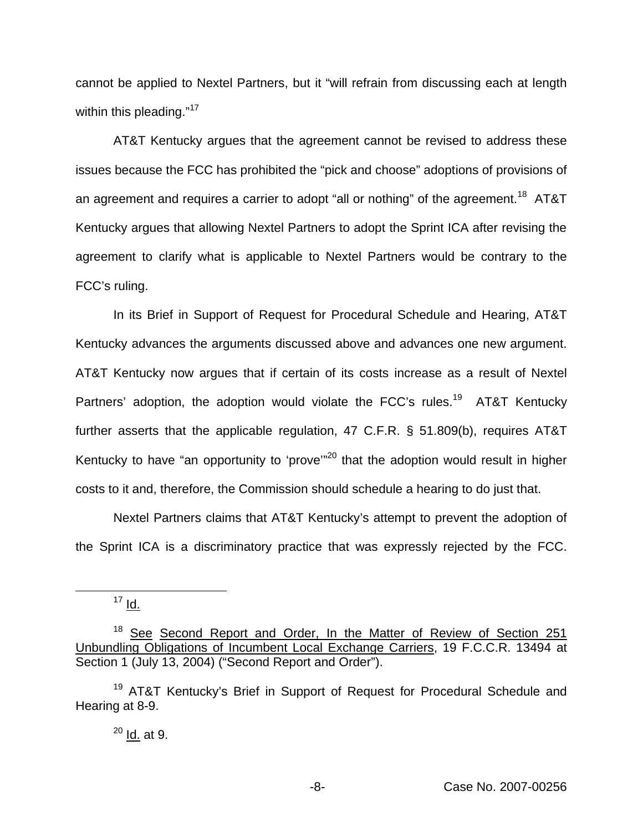cannot be applied to Nextel Partners, but it "will refrain from discussing each at length within this pleading."<sup>17</sup>

AT&T Kentucky argues that the agreement cannot be revised to address these issues because the FCC has prohibited the "pick and choose" adoptions of provisions of an agreement and requires a carrier to adopt "all or nothing" of the agreement.<sup>18</sup> AT&T Kentucky argues that allowing Nextel Partners to adopt the Sprint ICA after revising the agreement to clarify what is applicable to Nextel Partners would be contrary to the FCC's ruling.

In its Brief in Support of Request for Procedural Schedule and Hearing, AT&T Kentucky advances the arguments discussed above and advances one new argument. AT&T Kentucky now argues that if certain of its costs increase as a result of Nextel Partners' adoption, the adoption would violate the FCC's rules.<sup>19</sup> AT&T Kentucky further asserts that the applicable regulation, 47 C.F.R. § 51.809(b), requires AT&T Kentucky to have "an opportunity to 'prove"<sup>20</sup> that the adoption would result in higher costs to it and, therefore, the Commission should schedule a hearing to do just that.

Nextel Partners claims that AT&T Kentucky's attempt to prevent the adoption of the Sprint ICA is a discriminatory practice that was expressly rejected by the FCC.

 $17 \underline{d}$ .

<sup>&</sup>lt;sup>18</sup> See Second Report and Order, In the Matter of Review of Section 251 Unbundling Obligations of Incumbent Local Exchange Carriers, 19 F.C.C.R. 13494 at Section 1 (July 13, 2004) ("Second Report and Order").

<sup>&</sup>lt;sup>19</sup> AT&T Kentucky's Brief in Support of Request for Procedural Schedule and Hearing at 8-9.

 $20$  Id. at 9.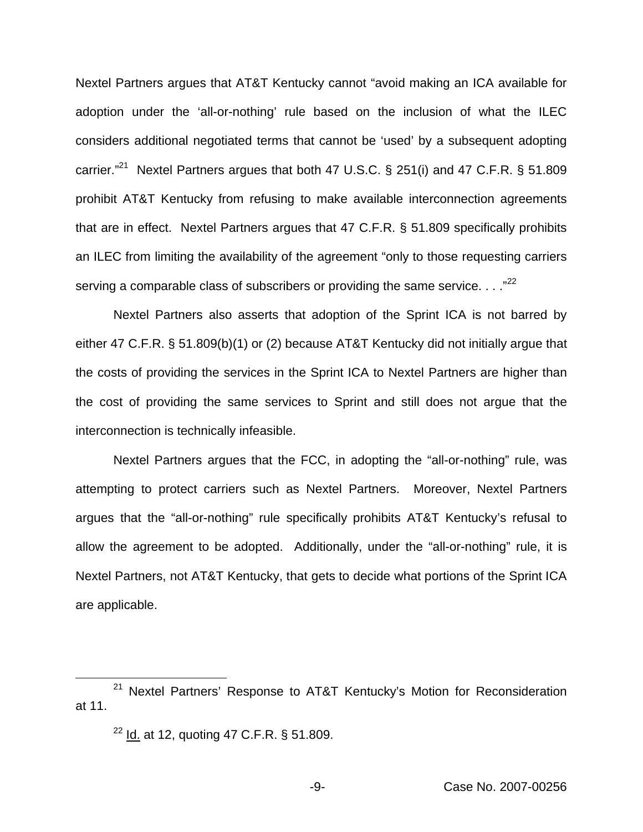Nextel Partners argues that AT&T Kentucky cannot "avoid making an ICA available for adoption under the 'all-or-nothing' rule based on the inclusion of what the ILEC considers additional negotiated terms that cannot be 'used' by a subsequent adopting carrier."<sup>21</sup> Nextel Partners argues that both 47 U.S.C. § 251(i) and 47 C.F.R. § 51.809 prohibit AT&T Kentucky from refusing to make available interconnection agreements that are in effect. Nextel Partners argues that 47 C.F.R. § 51.809 specifically prohibits an ILEC from limiting the availability of the agreement "only to those requesting carriers serving a comparable class of subscribers or providing the same service. . . ."<sup>22</sup>

Nextel Partners also asserts that adoption of the Sprint ICA is not barred by either 47 C.F.R. § 51.809(b)(1) or (2) because AT&T Kentucky did not initially argue that the costs of providing the services in the Sprint ICA to Nextel Partners are higher than the cost of providing the same services to Sprint and still does not argue that the interconnection is technically infeasible.

Nextel Partners argues that the FCC, in adopting the "all-or-nothing" rule, was attempting to protect carriers such as Nextel Partners. Moreover, Nextel Partners argues that the "all-or-nothing" rule specifically prohibits AT&T Kentucky's refusal to allow the agreement to be adopted. Additionally, under the "all-or-nothing" rule, it is Nextel Partners, not AT&T Kentucky, that gets to decide what portions of the Sprint ICA are applicable.

 $22$  Id. at 12, quoting 47 C.F.R. § 51.809.

<sup>&</sup>lt;sup>21</sup> Nextel Partners' Response to AT&T Kentucky's Motion for Reconsideration at 11.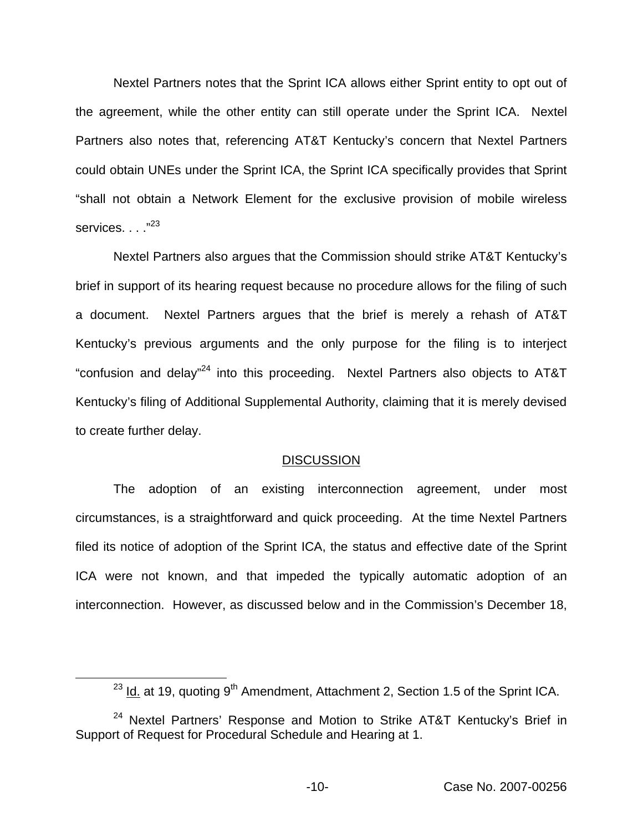Nextel Partners notes that the Sprint ICA allows either Sprint entity to opt out of the agreement, while the other entity can still operate under the Sprint ICA. Nextel Partners also notes that, referencing AT&T Kentucky's concern that Nextel Partners could obtain UNEs under the Sprint ICA, the Sprint ICA specifically provides that Sprint "shall not obtain a Network Element for the exclusive provision of mobile wireless services. . . . "23

Nextel Partners also argues that the Commission should strike AT&T Kentucky's brief in support of its hearing request because no procedure allows for the filing of such a document. Nextel Partners argues that the brief is merely a rehash of AT&T Kentucky's previous arguments and the only purpose for the filing is to interject "confusion and delay"24 into this proceeding. Nextel Partners also objects to AT&T Kentucky's filing of Additional Supplemental Authority, claiming that it is merely devised to create further delay.

#### DISCUSSION

The adoption of an existing interconnection agreement, under most circumstances, is a straightforward and quick proceeding. At the time Nextel Partners filed its notice of adoption of the Sprint ICA, the status and effective date of the Sprint ICA were not known, and that impeded the typically automatic adoption of an interconnection. However, as discussed below and in the Commission's December 18,

<sup>&</sup>lt;sup>23</sup> Id. at 19, quoting 9<sup>th</sup> Amendment, Attachment 2, Section 1.5 of the Sprint ICA.

<sup>&</sup>lt;sup>24</sup> Nextel Partners' Response and Motion to Strike AT&T Kentucky's Brief in Support of Request for Procedural Schedule and Hearing at 1.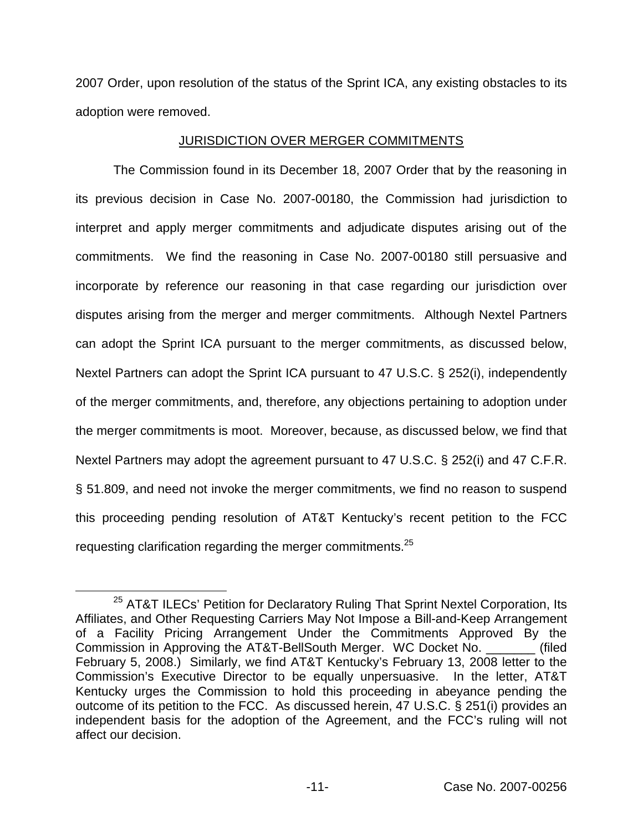2007 Order, upon resolution of the status of the Sprint ICA, any existing obstacles to its adoption were removed.

### JURISDICTION OVER MERGER COMMITMENTS

The Commission found in its December 18, 2007 Order that by the reasoning in its previous decision in Case No. 2007-00180, the Commission had jurisdiction to interpret and apply merger commitments and adjudicate disputes arising out of the commitments. We find the reasoning in Case No. 2007-00180 still persuasive and incorporate by reference our reasoning in that case regarding our jurisdiction over disputes arising from the merger and merger commitments. Although Nextel Partners can adopt the Sprint ICA pursuant to the merger commitments, as discussed below, Nextel Partners can adopt the Sprint ICA pursuant to 47 U.S.C. § 252(i), independently of the merger commitments, and, therefore, any objections pertaining to adoption under the merger commitments is moot. Moreover, because, as discussed below, we find that Nextel Partners may adopt the agreement pursuant to 47 U.S.C. § 252(i) and 47 C.F.R. § 51.809, and need not invoke the merger commitments, we find no reason to suspend this proceeding pending resolution of AT&T Kentucky's recent petition to the FCC requesting clarification regarding the merger commitments.<sup>25</sup>

<sup>&</sup>lt;sup>25</sup> AT&T ILECs' Petition for Declaratory Ruling That Sprint Nextel Corporation, Its Affiliates, and Other Requesting Carriers May Not Impose a Bill-and-Keep Arrangement of a Facility Pricing Arrangement Under the Commitments Approved By the Commission in Approving the AT&T-BellSouth Merger. WC Docket No. \_\_\_\_\_\_\_ (filed February 5, 2008.) Similarly, we find AT&T Kentucky's February 13, 2008 letter to the Commission's Executive Director to be equally unpersuasive. In the letter, AT&T Kentucky urges the Commission to hold this proceeding in abeyance pending the outcome of its petition to the FCC. As discussed herein, 47 U.S.C. § 251(i) provides an independent basis for the adoption of the Agreement, and the FCC's ruling will not affect our decision.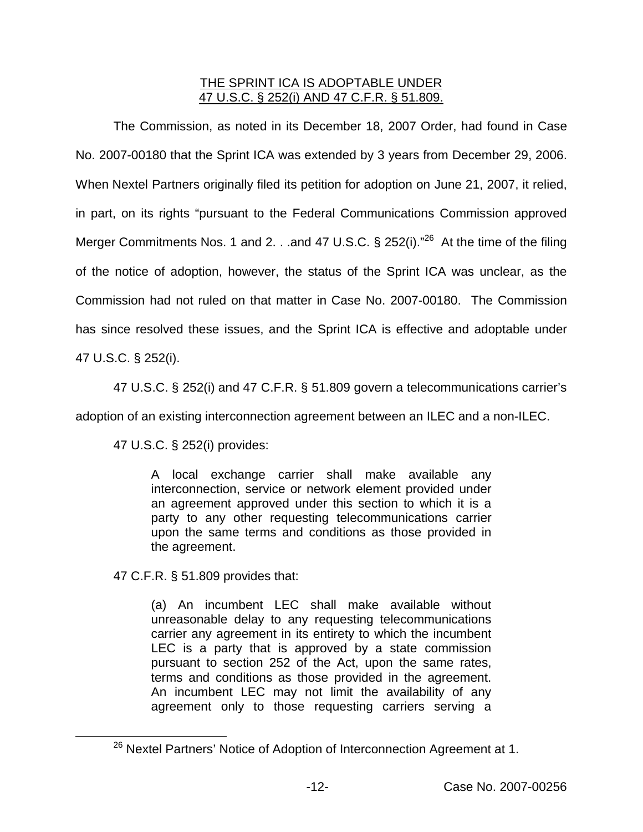# THE SPRINT ICA IS ADOPTABLE UNDER 47 U.S.C. § 252(i) AND 47 C.F.R. § 51.809.

The Commission, as noted in its December 18, 2007 Order, had found in Case No. 2007-00180 that the Sprint ICA was extended by 3 years from December 29, 2006. When Nextel Partners originally filed its petition for adoption on June 21, 2007, it relied, in part, on its rights "pursuant to the Federal Communications Commission approved Merger Commitments Nos. 1 and 2. . .and 47 U.S.C. § 252(i)."<sup>26</sup> At the time of the filing of the notice of adoption, however, the status of the Sprint ICA was unclear, as the Commission had not ruled on that matter in Case No. 2007-00180. The Commission has since resolved these issues, and the Sprint ICA is effective and adoptable under 47 U.S.C. § 252(i).

47 U.S.C. § 252(i) and 47 C.F.R. § 51.809 govern a telecommunications carrier's

adoption of an existing interconnection agreement between an ILEC and a non-ILEC.

47 U.S.C. § 252(i) provides:

A local exchange carrier shall make available any interconnection, service or network element provided under an agreement approved under this section to which it is a party to any other requesting telecommunications carrier upon the same terms and conditions as those provided in the agreement.

47 C.F.R. § 51.809 provides that:

(a) An incumbent LEC shall make available without unreasonable delay to any requesting telecommunications carrier any agreement in its entirety to which the incumbent LEC is a party that is approved by a state commission pursuant to section 252 of the Act, upon the same rates, terms and conditions as those provided in the agreement. An incumbent LEC may not limit the availability of any agreement only to those requesting carriers serving a

<sup>&</sup>lt;sup>26</sup> Nextel Partners' Notice of Adoption of Interconnection Agreement at 1.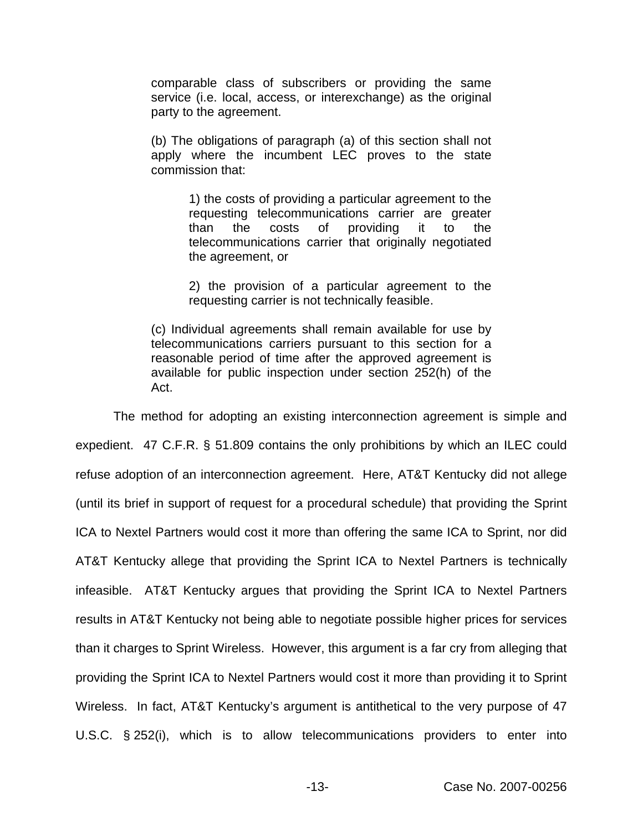comparable class of subscribers or providing the same service (i.e. local, access, or interexchange) as the original party to the agreement.

(b) The obligations of paragraph (a) of this section shall not apply where the incumbent LEC proves to the state commission that:

> 1) the costs of providing a particular agreement to the requesting telecommunications carrier are greater than the costs of providing it to the telecommunications carrier that originally negotiated the agreement, or

> 2) the provision of a particular agreement to the requesting carrier is not technically feasible.

(c) Individual agreements shall remain available for use by telecommunications carriers pursuant to this section for a reasonable period of time after the approved agreement is available for public inspection under section 252(h) of the Act.

The method for adopting an existing interconnection agreement is simple and expedient. 47 C.F.R. § 51.809 contains the only prohibitions by which an ILEC could refuse adoption of an interconnection agreement. Here, AT&T Kentucky did not allege (until its brief in support of request for a procedural schedule) that providing the Sprint ICA to Nextel Partners would cost it more than offering the same ICA to Sprint, nor did AT&T Kentucky allege that providing the Sprint ICA to Nextel Partners is technically infeasible. AT&T Kentucky argues that providing the Sprint ICA to Nextel Partners results in AT&T Kentucky not being able to negotiate possible higher prices for services than it charges to Sprint Wireless. However, this argument is a far cry from alleging that providing the Sprint ICA to Nextel Partners would cost it more than providing it to Sprint Wireless. In fact, AT&T Kentucky's argument is antithetical to the very purpose of 47 U.S.C. § 252(i), which is to allow telecommunications providers to enter into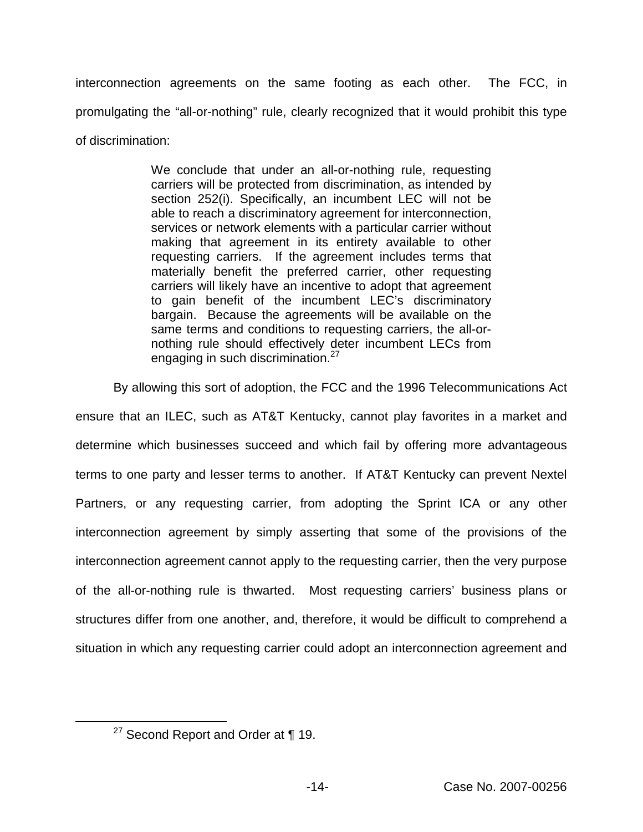interconnection agreements on the same footing as each other. The FCC, in promulgating the "all-or-nothing" rule, clearly recognized that it would prohibit this type of discrimination:

> We conclude that under an all-or-nothing rule, requesting carriers will be protected from discrimination, as intended by section 252(i). Specifically, an incumbent LEC will not be able to reach a discriminatory agreement for interconnection, services or network elements with a particular carrier without making that agreement in its entirety available to other requesting carriers. If the agreement includes terms that materially benefit the preferred carrier, other requesting carriers will likely have an incentive to adopt that agreement to gain benefit of the incumbent LEC's discriminatory bargain. Because the agreements will be available on the same terms and conditions to requesting carriers, the all-ornothing rule should effectively deter incumbent LECs from engaging in such discrimination.<sup>27</sup>

By allowing this sort of adoption, the FCC and the 1996 Telecommunications Act ensure that an ILEC, such as AT&T Kentucky, cannot play favorites in a market and determine which businesses succeed and which fail by offering more advantageous terms to one party and lesser terms to another. If AT&T Kentucky can prevent Nextel Partners, or any requesting carrier, from adopting the Sprint ICA or any other interconnection agreement by simply asserting that some of the provisions of the interconnection agreement cannot apply to the requesting carrier, then the very purpose of the all-or-nothing rule is thwarted. Most requesting carriers' business plans or structures differ from one another, and, therefore, it would be difficult to comprehend a situation in which any requesting carrier could adopt an interconnection agreement and

 $27$  Second Report and Order at  $\P$  19.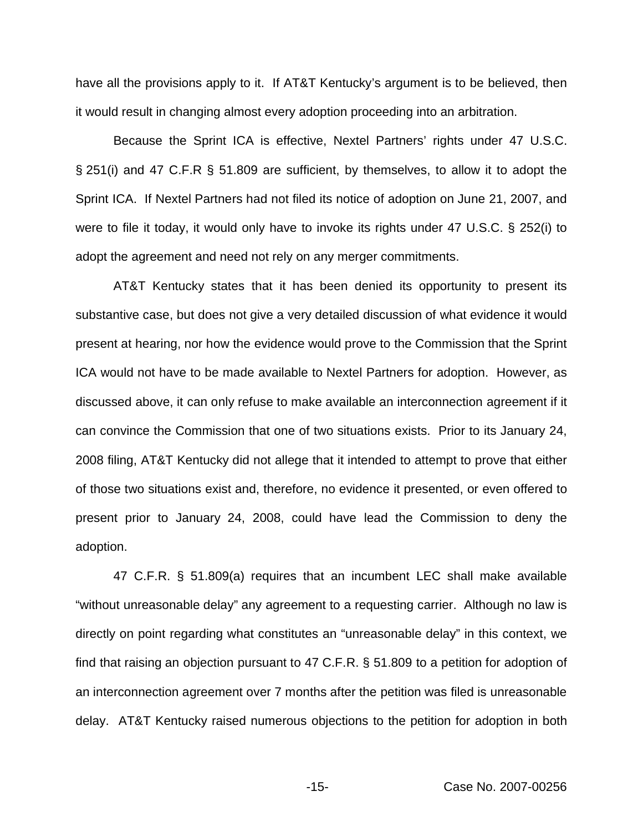have all the provisions apply to it. If AT&T Kentucky's argument is to be believed, then it would result in changing almost every adoption proceeding into an arbitration.

Because the Sprint ICA is effective, Nextel Partners' rights under 47 U.S.C. § 251(i) and 47 C.F.R § 51.809 are sufficient, by themselves, to allow it to adopt the Sprint ICA. If Nextel Partners had not filed its notice of adoption on June 21, 2007, and were to file it today, it would only have to invoke its rights under 47 U.S.C. § 252(i) to adopt the agreement and need not rely on any merger commitments.

AT&T Kentucky states that it has been denied its opportunity to present its substantive case, but does not give a very detailed discussion of what evidence it would present at hearing, nor how the evidence would prove to the Commission that the Sprint ICA would not have to be made available to Nextel Partners for adoption. However, as discussed above, it can only refuse to make available an interconnection agreement if it can convince the Commission that one of two situations exists. Prior to its January 24, 2008 filing, AT&T Kentucky did not allege that it intended to attempt to prove that either of those two situations exist and, therefore, no evidence it presented, or even offered to present prior to January 24, 2008, could have lead the Commission to deny the adoption.

47 C.F.R. § 51.809(a) requires that an incumbent LEC shall make available "without unreasonable delay" any agreement to a requesting carrier. Although no law is directly on point regarding what constitutes an "unreasonable delay" in this context, we find that raising an objection pursuant to 47 C.F.R. § 51.809 to a petition for adoption of an interconnection agreement over 7 months after the petition was filed is unreasonable delay. AT&T Kentucky raised numerous objections to the petition for adoption in both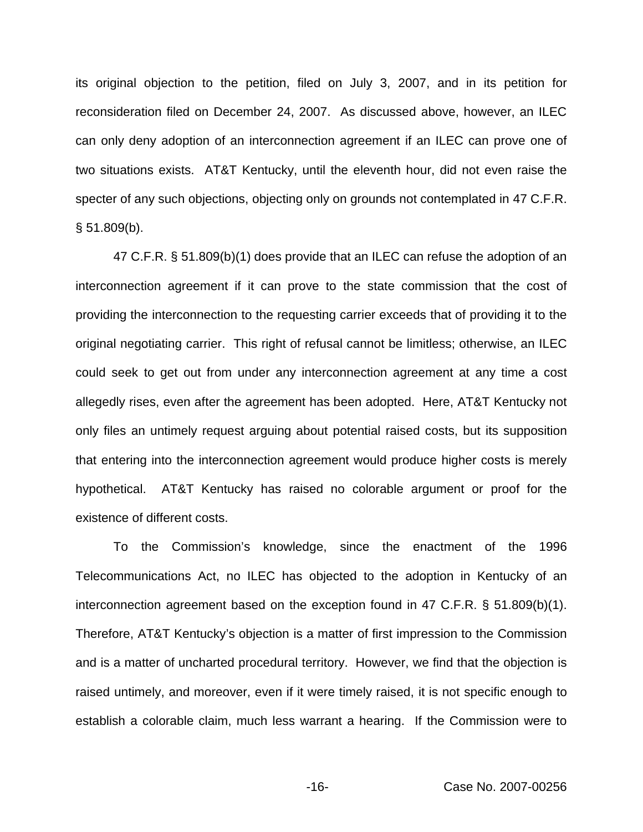its original objection to the petition, filed on July 3, 2007, and in its petition for reconsideration filed on December 24, 2007. As discussed above, however, an ILEC can only deny adoption of an interconnection agreement if an ILEC can prove one of two situations exists. AT&T Kentucky, until the eleventh hour, did not even raise the specter of any such objections, objecting only on grounds not contemplated in 47 C.F.R.  $§ 51.809(b).$ 

47 C.F.R. § 51.809(b)(1) does provide that an ILEC can refuse the adoption of an interconnection agreement if it can prove to the state commission that the cost of providing the interconnection to the requesting carrier exceeds that of providing it to the original negotiating carrier. This right of refusal cannot be limitless; otherwise, an ILEC could seek to get out from under any interconnection agreement at any time a cost allegedly rises, even after the agreement has been adopted. Here, AT&T Kentucky not only files an untimely request arguing about potential raised costs, but its supposition that entering into the interconnection agreement would produce higher costs is merely hypothetical. AT&T Kentucky has raised no colorable argument or proof for the existence of different costs.

To the Commission's knowledge, since the enactment of the 1996 Telecommunications Act, no ILEC has objected to the adoption in Kentucky of an interconnection agreement based on the exception found in 47 C.F.R. § 51.809(b)(1). Therefore, AT&T Kentucky's objection is a matter of first impression to the Commission and is a matter of uncharted procedural territory. However, we find that the objection is raised untimely, and moreover, even if it were timely raised, it is not specific enough to establish a colorable claim, much less warrant a hearing. If the Commission were to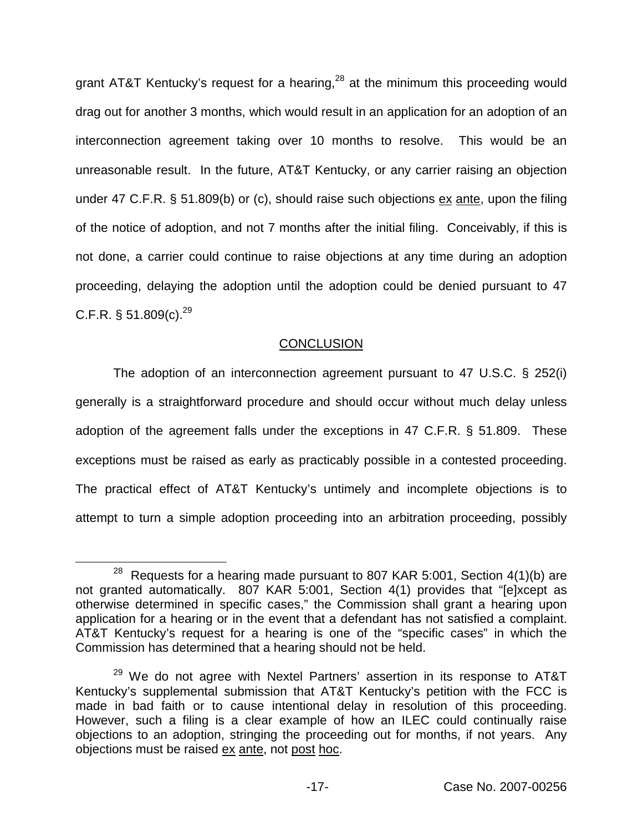grant AT&T Kentucky's request for a hearing,  $28$  at the minimum this proceeding would drag out for another 3 months, which would result in an application for an adoption of an interconnection agreement taking over 10 months to resolve. This would be an unreasonable result. In the future, AT&T Kentucky, or any carrier raising an objection under 47 C.F.R. § 51.809(b) or (c), should raise such objections ex ante, upon the filing of the notice of adoption, and not 7 months after the initial filing. Conceivably, if this is not done, a carrier could continue to raise objections at any time during an adoption proceeding, delaying the adoption until the adoption could be denied pursuant to 47 C.F.R. § 51.809(c). $^{29}$ 

### **CONCLUSION**

The adoption of an interconnection agreement pursuant to 47 U.S.C. § 252(i) generally is a straightforward procedure and should occur without much delay unless adoption of the agreement falls under the exceptions in 47 C.F.R. § 51.809. These exceptions must be raised as early as practicably possible in a contested proceeding. The practical effect of AT&T Kentucky's untimely and incomplete objections is to attempt to turn a simple adoption proceeding into an arbitration proceeding, possibly

 $28$  Requests for a hearing made pursuant to 807 KAR 5:001, Section 4(1)(b) are not granted automatically. 807 KAR 5:001, Section 4(1) provides that "[e]xcept as otherwise determined in specific cases," the Commission shall grant a hearing upon application for a hearing or in the event that a defendant has not satisfied a complaint. AT&T Kentucky's request for a hearing is one of the "specific cases" in which the Commission has determined that a hearing should not be held.

<sup>&</sup>lt;sup>29</sup> We do not agree with Nextel Partners' assertion in its response to AT&T Kentucky's supplemental submission that AT&T Kentucky's petition with the FCC is made in bad faith or to cause intentional delay in resolution of this proceeding. However, such a filing is a clear example of how an ILEC could continually raise objections to an adoption, stringing the proceeding out for months, if not years. Any objections must be raised ex ante, not post hoc.